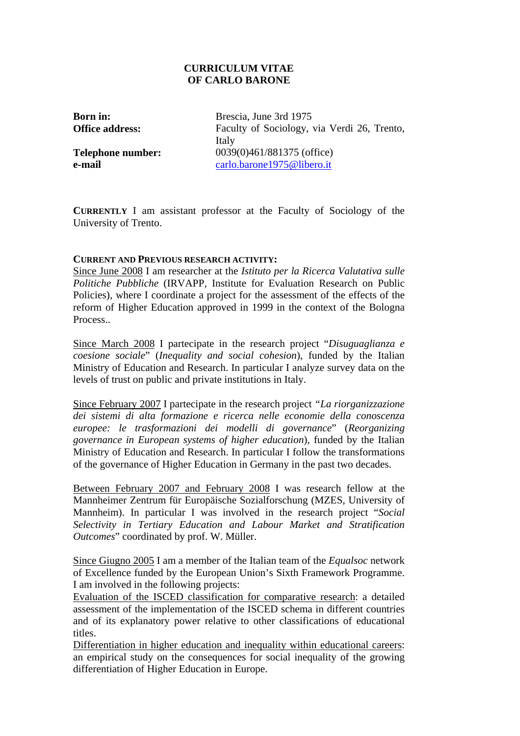# **CURRICULUM VITAE OF CARLO BARONE**

**Born in:** Brescia, June 3rd 1975 **Office address:** Faculty of Sociology, via Verdi 26, Trento, Italy **Telephone number:** 0039(0)461/881375 (office) **e-mail** [carlo.barone1975@libero.it](mailto:carlo.barone1975@libero.it)

**CURRENTLY** I am assistant professor at the Faculty of Sociology of the University of Trento.

## **CURRENT AND PREVIOUS RESEARCH ACTIVITY:**

Since June 2008 I am researcher at the *Istituto per la Ricerca Valutativa sulle Politiche Pubbliche* (IRVAPP, Institute for Evaluation Research on Public Policies), where I coordinate a project for the assessment of the effects of the reform of Higher Education approved in 1999 in the context of the Bologna Process..

Since March 2008 I partecipate in the research project "*Disuguaglianza e coesione sociale*" (*Inequality and social cohesion*), funded by the Italian Ministry of Education and Research. In particular I analyze survey data on the levels of trust on public and private institutions in Italy.

Since February 2007 I partecipate in the research project *"La riorganizzazione dei sistemi di alta formazione e ricerca nelle economie della conoscenza europee: le trasformazioni dei modelli di governance*" (*Reorganizing governance in European systems of higher education*), funded by the Italian Ministry of Education and Research. In particular I follow the transformations of the governance of Higher Education in Germany in the past two decades.

Between February 2007 and February 2008 I was research fellow at the Mannheimer Zentrum für Europäische Sozialforschung (MZES, University of Mannheim). In particular I was involved in the research project "*Social Selectivity in Tertiary Education and Labour Market and Stratification Outcomes*" coordinated by prof. W. Müller.

Since Giugno 2005 I am a member of the Italian team of the *Equalsoc* network of Excellence funded by the European Union's Sixth Framework Programme. I am involved in the following projects:

Evaluation of the ISCED classification for comparative research: a detailed assessment of the implementation of the ISCED schema in different countries and of its explanatory power relative to other classifications of educational titles.

[Differentiation in higher education and inequality within educational careers:](http://www.equalsoc.org/email/compose) an empirical study on the consequences for social inequality of the growing differentiation of Higher Education in Europe.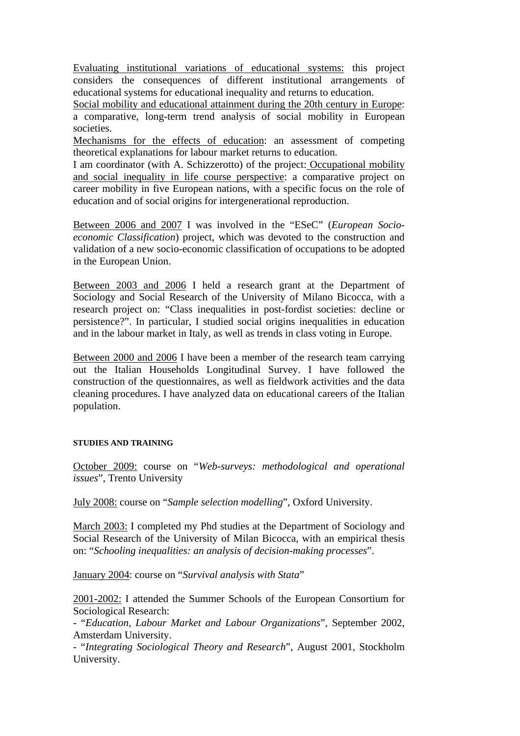[Evaluating institutional variations of educational systems](http://www.equalsoc.org/email/compose): this project considers the consequences of different institutional arrangements of educational systems for educational inequality and returns to education.

[Social mobility and educational attainment during the 20th century](http://www.equalsoc.org/email/compose) in Europe: a comparative, long-term trend analysis of social mobility in European societies.

Mechanisms for the effects of education: an assessment of competing theoretical explanations for labour market returns to education.

I am coordinator (with A. Schizzerotto) of the project: [Occupational mobility](http://www.equalsoc.org/email/compose)  [and social inequality in life course perspective](http://www.equalsoc.org/email/compose): a comparative project on career mobility in five European nations, with a specific focus on the role of education and of social origins for intergenerational reproduction.

Between 2006 and 2007 I was involved in the "ESeC" (*European Socioeconomic Classification*) project, which was devoted to the construction and validation of a new socio-economic classification of occupations to be adopted in the European Union.

Between 2003 and 2006 I held a research grant at the Department of Sociology and Social Research of the University of Milano Bicocca, with a research project on: "Class inequalities in post-fordist societies: decline or persistence?". In particular, I studied social origins inequalities in education and in the labour market in Italy, as well as trends in class voting in Europe.

Between 2000 and 2006 I have been a member of the research team carrying out the Italian Households Longitudinal Survey. I have followed the construction of the questionnaires, as well as fieldwork activities and the data cleaning procedures. I have analyzed data on educational careers of the Italian population.

### **STUDIES AND TRAINING**

October 2009: course on "*Web-surveys: methodological and operational issues*", Trento University

July 2008: course on "*Sample selection modelling*", Oxford University.

March 2003: I completed my Phd studies at the Department of Sociology and Social Research of the University of Milan Bicocca, with an empirical thesis on: "*Schooling inequalities: an analysis of decision-making processes*".

January 2004: course on "*Survival analysis with Stata*"

2001-2002: I attended the Summer Schools of the European Consortium for Sociological Research:

- "*Education, Labour Market and Labour Organizations*", September 2002, Amsterdam University.

- "*Integrating Sociological Theory and Research*", August 2001, Stockholm University.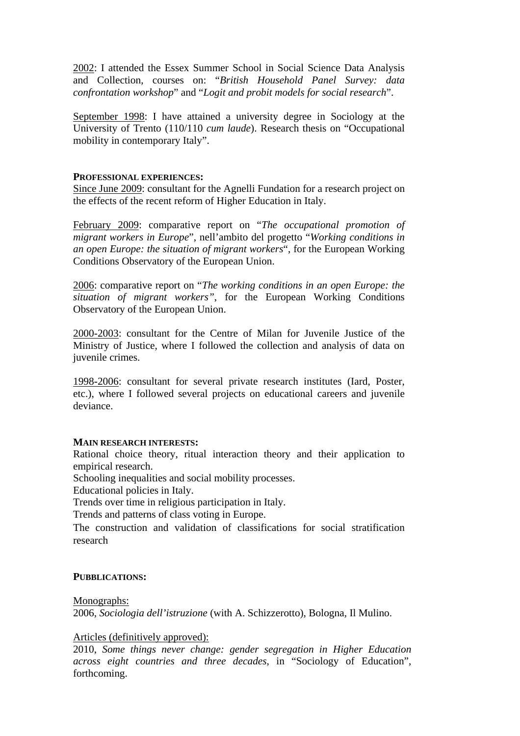2002: I attended the Essex Summer School in Social Science Data Analysis and Collection, courses on: "*British Household Panel Survey: data confrontation workshop*" and "*Logit and probit models for social research*".

September 1998: I have attained a university degree in Sociology at the University of Trento (110/110 *cum laude*). Research thesis on "Occupational mobility in contemporary Italy".

## **PROFESSIONAL EXPERIENCES:**

Since June 2009: consultant for the Agnelli Fundation for a research project on the effects of the recent reform of Higher Education in Italy.

February 2009: comparative report on "*The occupational promotion of migrant workers in Europe*", nell'ambito del progetto "*Working conditions in an open Europe: the situation of migrant workers*", for the European Working Conditions Observatory of the European Union.

2006: comparative report on "*The working conditions in an open Europe: the situation of migrant workers"*, for the European Working Conditions Observatory of the European Union.

2000-2003: consultant for the Centre of Milan for Juvenile Justice of the Ministry of Justice, where I followed the collection and analysis of data on juvenile crimes.

1998-2006: consultant for several private research institutes (Iard, Poster, etc.), where I followed several projects on educational careers and juvenile deviance.

### **MAIN RESEARCH INTERESTS:**

Rational choice theory, ritual interaction theory and their application to empirical research.

Schooling inequalities and social mobility processes.

Educational policies in Italy.

Trends over time in religious participation in Italy.

Trends and patterns of class voting in Europe.

The construction and validation of classifications for social stratification research

## **PUBBLICATIONS:**

Monographs:

2006, *Sociologia dell'istruzione* (with A. Schizzerotto), Bologna, Il Mulino.

## Articles (definitively approved):

2010, *Some things never change: gender segregation in Higher Education across eight countries and three decades*, in "Sociology of Education", forthcoming.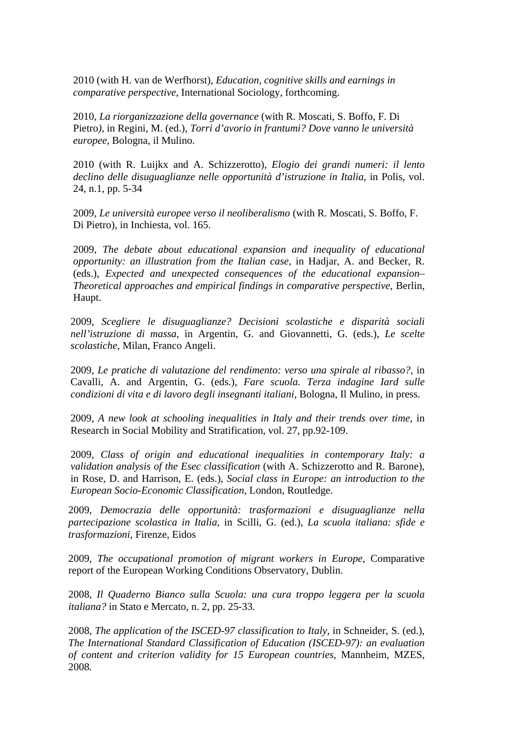2010 (with H. van de Werfhorst), *Education, cognitive skills and earnings in comparative perspective*, International Sociology, forthcoming.

2010, *La riorganizzazione della governance* (with R. Moscati, S. Boffo, F. Di Pietro*)*, in Regini, M. (ed.), *Torri d'avorio in frantumi? Dove vanno le università europee*, Bologna, il Mulino.

2010 (with R. Luijkx and A. Schizzerotto), *Elogio dei grandi numeri: il lento declino delle disuguaglianze nelle opportunità d'istruzione in Italia*, in Polis, vol. 24, n.1, pp. 5-34

2009, *Le università europee verso il neoliberalismo* (with R. Moscati, S. Boffo, F. Di Pietro), in Inchiesta, vol. 165.

2009, *The debate about educational expansion and inequality of educational opportunity: an illustration from the Italian case,* in Hadjar, A. and Becker, R. (eds.), *Expected and unexpected consequences of the educational expansion– Theoretical approaches and empirical findings in comparative perspective*, Berlin, Haupt.

2009, *Scegliere le disuguaglianze? Decisioni scolastiche e disparità sociali nell'istruzione di massa*, in Argentin, G. and Giovannetti, G. (eds.), *Le scelte scolastiche*, Milan, Franco Angeli.

2009, *Le pratiche di valutazione del rendimento: verso una spirale al ribasso?*, in Cavalli, A. and Argentin, G. (eds.), *Fare scuola. Terza indagine Iard sulle condizioni di vita e di lavoro degli insegnanti italiani*, Bologna, Il Mulino, in press.

2009, *A new look at schooling inequalities in Italy and their trends over time*, in Research in Social Mobility and Stratification, vol. 27, pp.92-109.

2009, *Class of origin and educational inequalities in contemporary Italy: a validation analysis of the Esec classification* (with A. Schizzerotto and R. Barone), in Rose, D. and Harrison, E. (eds.), *Social class in Europe: an introduction to the European Socio-Economic Classification*, London, Routledge.

2009, *Democrazia delle opportunità: trasformazioni e disuguaglianze nella partecipazione scolastica in Italia,* in Scilli, G. (ed.), *La scuola italiana: sfide e trasformazioni*, Firenze, Eidos

2009, *The [occupational promotion of migrant workers](http://www.eurofound.europa.eu/ewco/studies/tn0807038s/index.htm) in Europe*, Comparative report of the European Working Conditions Observatory, Dublin.

2008, *Il Quaderno Bianco sulla Scuola: una cura troppo leggera per la scuola italiana?* in Stato e Mercato, n. 2, pp. 25-33.

2008, *The application of the ISCED-97 classification to Italy*, in Schneider, S. (ed.), *The International Standard Classification of Education (ISCED-97): an evaluation of content and criterion validity for 15 European countries*, Mannheim, MZES, 2008*.*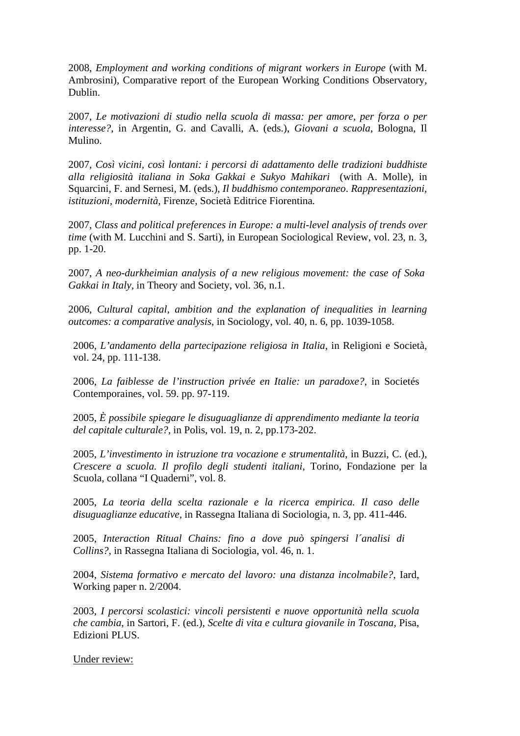2008, *Employment and working conditions of migrant workers in Europe* (with M. Ambrosini), Comparative report of the European Working Conditions Observatory, Dublin.

2007, *Le motivazioni di studio nella scuola di massa: per amore, per forza o per interesse?*, in Argentin, G. and Cavalli, A. (eds.), *Giovani a scuola*, Bologna, Il Mulino.

2007, *Così vicini, così lontani: i percorsi di adattamento delle tradizioni buddhiste alla religiosità italiana in Soka Gakkai e Sukyo Mahikari* (with A. Molle), in Squarcini, F. and Sernesi, M. (eds.), *Il buddhismo contemporaneo*. *Rappresentazioni, istituzioni, modernità,* Firenze, Società Editrice Fiorentina*.* 

2007, *Class and political preferences in Europe: a multi-level analysis of trends over time* (with M. Lucchini and S. Sarti), in European Sociological Review, vol. 23, n. 3, pp. 1-20.

2007, *A neo-durkheimian analysis of a new religious movement: the case of Soka Gakkai in Italy,* in Theory and Society, vol. 36, n.1.

2006, *Cultural capital, ambition and the explanation of inequalities in learning outcomes: a comparative analysis*, in Sociology, vol. 40, n. 6, pp. 1039-1058.

2006, *L'andamento della partecipazione religiosa in Italia*, in Religioni e Società, vol. 24, pp. 111-138.

2006, *La faiblesse de l'instruction privée en Italie: un paradoxe?*, in Societés Contemporaines, vol. 59. pp. 97-119.

2005, *È possibile spiegare le disuguaglianze di apprendimento mediante la teoria del capitale culturale?,* in Polis, vol. 19, n. 2, pp.173-202.

2005, *L'investimento in istruzione tra vocazione e strumentalità*, in [Buzzi, C.](http://polaris.unitn.it/author.php?idu=2409) (ed.), *Crescere a scuola. Il profilo degli studenti italiani*, Torino, Fondazione per la Scuola, collana "I Quaderni", vol. 8.

2005, *La teoria della scelta razionale e la ricerca empirica. Il caso delle disuguaglianze educative*, in Rassegna Italiana di Sociologia, n. 3, pp. 411-446.

2005, *Interaction Ritual Chains: fino a dove può spingersi l´analisi di Collins?,* in Rassegna Italiana di Sociologia, vol. 46, n. 1.

2004, *Sistema formativo e mercato del lavoro: una distanza incolmabile?*, Iard, Working paper n. 2/2004.

2003, *I percorsi scolastici: vincoli persistenti e nuove opportunità nella scuola che cambia*, in Sartori, F. (ed.), *Scelte di vita e cultura giovanile in Toscana*, Pisa, Edizioni PLUS.

Under review: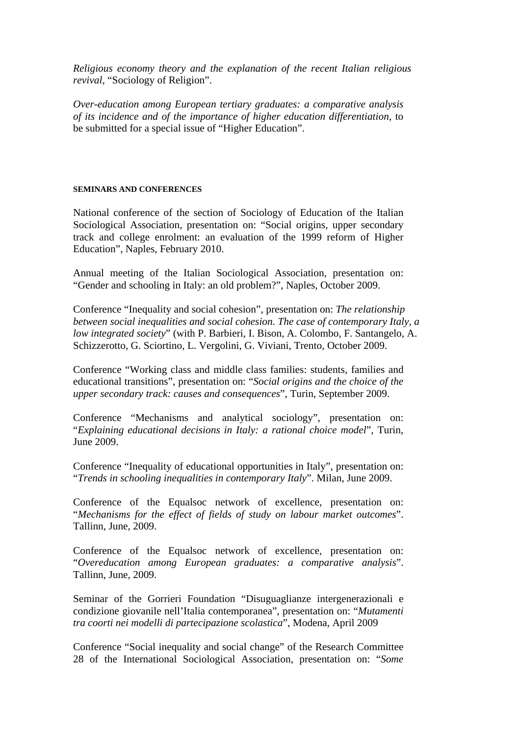*Religious economy theory and the explanation of the recent Italian religious revival*, "Sociology of Religion".

*Over-education among European tertiary graduates: a comparative analysis of its incidence and of the importance of higher education differentiation*, to be submitted for a special issue of "Higher Education".

#### **SEMINARS AND CONFERENCES**

National conference of the section of Sociology of Education of the Italian Sociological Association, presentation on: "Social origins, upper secondary track and college enrolment: an evaluation of the 1999 reform of Higher Education", Naples, February 2010.

Annual meeting of the Italian Sociological Association, presentation on: "Gender and schooling in Italy: an old problem?", Naples, October 2009.

Conference "Inequality and social cohesion", presentation on: *The relationship between social inequalities and social cohesion. The case of contemporary Italy, a low integrated society*" (with P. Barbieri, I. Bison, A. Colombo, F. Santangelo, A. Schizzerotto, G. Sciortino, L. Vergolini, G. Viviani, Trento, October 2009.

Conference "Working class and middle class families: students, families and educational transitions", presentation on: "*Social origins and the choice of the upper secondary track: causes and consequences*", Turin, September 2009.

Conference "Mechanisms and analytical sociology", presentation on: "*Explaining educational decisions in Italy: a rational choice model*", Turin, June 2009.

Conference "[Inequality](http://www.equalsoc.org/email/compose) of educational opportunities in Italy", presentation on: "*Trends in schooling inequalities in contemporary Italy*". Milan, June 2009.

Conference of the Equalsoc network of excellence, presentation on: "*Mechanisms for the effect of fields of study on labour market outcomes*". Tallinn, June, 2009.

Conference of the Equalsoc network of excellence, presentation on: "*Overeducation among European graduates: a comparative analysis*". Tallinn, June, 2009.

Seminar of the Gorrieri Foundation "Disuguaglianze intergenerazionali e condizione giovanile nell'Italia contemporanea", presentation on: "*Mutamenti tra coorti nei modelli di partecipazione scolastica*", Modena, April 2009

Conference "Social inequality and social change" of the Research Committee 28 of the International Sociological Association, presentation on: "*Some*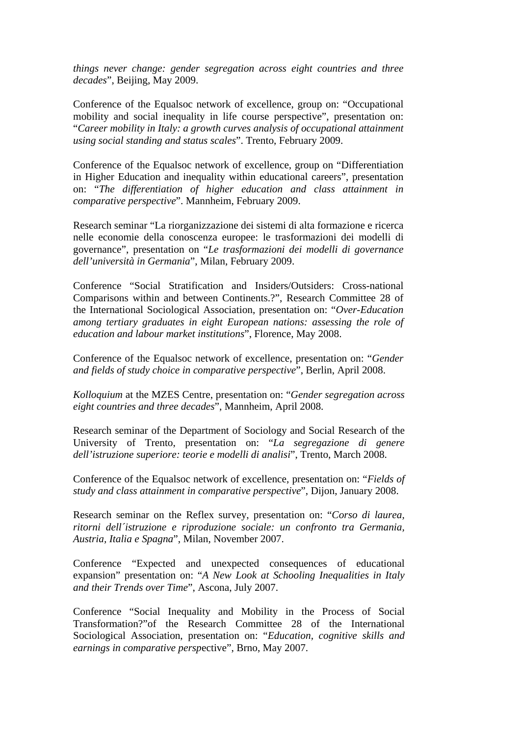*things never change: gender segregation across eight countries and three decades*", Beijing, May 2009.

Conference of the Equalsoc network of excellence, group on: "[Occupational](http://www.equalsoc.org/email/compose)  [mobility and social inequality in life course perspective](http://www.equalsoc.org/email/compose)", presentation on: "*Career mobility in Italy: a growth curves analysis of occupational attainment using social standing and status scales*". Trento, February 2009.

Conference of the Equalsoc network of excellence, group on ["Differentiation](http://www.equalsoc.org/email/compose)  [in Higher Education and inequality within educational careers"](http://www.equalsoc.org/email/compose), presentation on: "*[The](http://www.rscas.org/public/files/rc28/RC28%20Florence%20abstr2.doc) differentiation of higher education and class attainment in comparative perspective*". Mannheim, February 2009.

Research seminar "La riorganizzazione dei sistemi di alta formazione e ricerca nelle economie della conoscenza europee: le trasformazioni dei modelli di governance", presentation on "*Le trasformazioni dei modelli di governance dell'università in Germania*", Milan, February 2009.

Conference "Social Stratification and Insiders/Outsiders: Cross-national Comparisons within and between Continents.?", Research Committee 28 of the International Sociological Association, presentation on: "*[Over-Education](http://www.rscas.org/public/files/rc28/RC28%20Florence%20abstr2.doc)  [among tertiary graduates in eight European nations: assessing the role of](http://www.rscas.org/public/files/rc28/RC28%20Florence%20abstr2.doc)  [education and labour market institutions](http://www.rscas.org/public/files/rc28/RC28%20Florence%20abstr2.doc)*", Florence, May 2008.

Conference of the Equalsoc network of excellence, presentation on: "*Gender and fields of study choice in comparative perspective*", Berlin, April 2008.

*Kolloquium* at the MZES Centre, presentation on: "*Gender segregation across eight countries and three decades*", Mannheim, April 2008.

Research seminar of the Department of Sociology and Social Research of the University of Trento, presentation on: "*La segregazione di genere dell'istruzione superiore: teorie e modelli di analisi*", Trento, March 2008.

Conference of the Equalsoc network of excellence, presentation on: "*Fields of study and class attainment in comparative perspective*", Dijon, January 2008.

Research seminar on the Reflex survey, presentation on: "*Corso di laurea, ritorni dell´istruzione e riproduzione sociale: un confronto tra Germania, Austria, Italia e Spagna*", Milan, November 2007.

Conference "Expected and unexpected consequences of educational expansion" presentation on: "*A New Look at Schooling Inequalities in Italy and their Trends over Time*", Ascona, July 2007.

Conference "Social Inequality and Mobility in the Process of Social Transformation?"of the Research Committee 28 of the International Sociological Association, presentation on: "*Education, cognitive skills and earnings in comparative persp*ective", Brno, May 2007.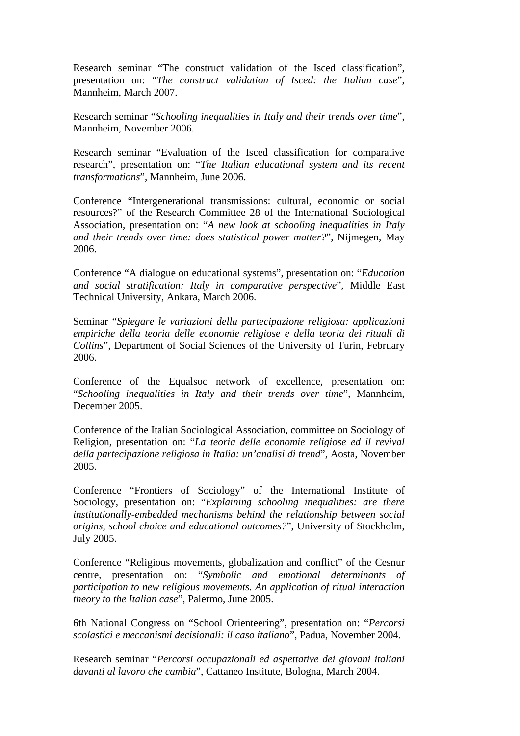Research seminar "The construct validation of the Isced classification", presentation on: "*The construct validation of Isced: the Italian case*", Mannheim, March 2007.

Research seminar "*Schooling inequalities in Italy and their trends over time*", Mannheim, November 2006.

Research seminar "Evaluation of the Isced classification for comparative research", presentation on: "*The Italian educational system and its recent transformations*", Mannheim, June 2006.

Conference "Intergenerational transmissions: cultural, economic or social resources?" of the Research Committee 28 of the International Sociological Association, presentation on: "*A new look at schooling inequalities in Italy and their trends over time: does statistical power matter?*", Nijmegen, May 2006.

Conference "A dialogue on educational systems", presentation on: "*Education and social stratification: Italy in comparative perspective*", Middle East Technical University, Ankara, March 2006.

Seminar "*Spiegare le variazioni della partecipazione religiosa: applicazioni empiriche della teoria delle economie religiose e della teoria dei rituali di Collins*", Department of Social Sciences of the University of Turin, February 2006.

Conference of the Equalsoc network of excellence, presentation on: "*Schooling inequalities in Italy and their trends over time*", Mannheim, December 2005.

Conference of the Italian Sociological Association, committee on Sociology of Religion, presentation on: "*La teoria delle economie religiose ed il revival della partecipazione religiosa in Italia: un'analisi di trend*", Aosta, November 2005.

Conference "Frontiers of Sociology" of the International Institute of Sociology, presentation on: "*Explaining schooling inequalities: are there institutionally-embedded mechanisms behind the relationship between social origins, school choice and educational outcomes?*", University of Stockholm, July 2005.

Conference "Religious movements, globalization and conflict" of the Cesnur centre, presentation on: "*Symbolic and emotional determinants of participation to new religious movements. An application of ritual interaction theory to the Italian case*", Palermo, June 2005.

6th National Congress on "School Orienteering", presentation on: "*Percorsi scolastici e meccanismi decisionali: il caso italiano*", Padua, November 2004.

Research seminar "*Percorsi occupazionali ed aspettative dei giovani italiani davanti al lavoro che cambia*", Cattaneo Institute, Bologna, March 2004.